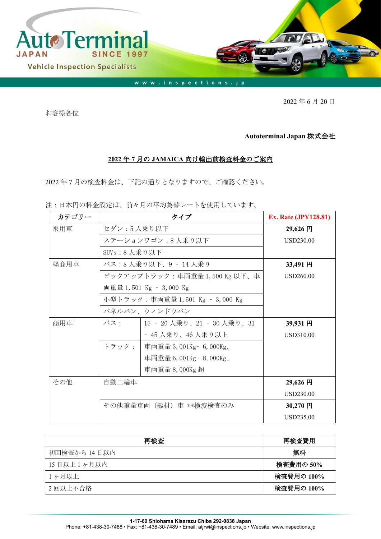

2022 年 6 月 20 日

お客様各位

## **Autoterminal Japan** 株式会社

## **2022** 年 **7** 月の **JAMAICA** 向け輸出前検査料金のご案内

2022 年 7 月の検査料金は、下記の通りとなりますので、ご確認ください。

注:日本円の料金設定は、前々月の平均為替レートを使用しています。

| カテゴリー |                                 | <b>Ex. Rate (JPY128.81)</b> |                  |
|-------|---------------------------------|-----------------------------|------------------|
| 乗用車   | セダン:5人乗り以下                      |                             | 29,626 円         |
|       | ステーションワゴン:8人乗り以下                | USD230.00                   |                  |
|       | SUVs:8人乗り以下                     |                             |                  |
| 軽商用車  |                                 | バス:8 人乗り以下、9 ‐ 14 人乗り       | 33,491円          |
|       | ピックアップトラック:車両重量 1,500 Kg 以下、車   | USD260.00                   |                  |
|       |                                 | 両重量 1,501 Kg - 3,000 Kg     |                  |
|       | 小型トラック:車両重量 1,501 Kg – 3,000 Kg |                             |                  |
|       |                                 | パネルバン、ウィンドウバン               |                  |
| 商用車   | バス・                             | 15 - 20 人乗り、21 - 30 人乗り、31  | 39,931 円         |
|       |                                 | - 45 人乗り、46 人乗り以上           | USD310.00        |
|       | トラック:                           | 車両重量 3,001Kg- 6,000Kg、      |                  |
|       |                                 | 車両重量 6,001Kg - 8,000Kg、     |                  |
|       |                                 | 車両重量 8,000Kg 超              |                  |
| その他   | 自動二輪車                           |                             | 29,626 円         |
|       |                                 |                             | <b>USD230.00</b> |
|       | その他重量車両(機材)車 **検疫検査のみ           | $30,270$ 円                  |                  |
|       |                                 |                             | USD235.00        |

| 再検査          | 再検査費用      |
|--------------|------------|
| 初回検査から 14日以内 | 無料         |
| 15日以上1ヶ月以内   | 検査費用の 50%  |
| 1ヶ月以上        | 検査費用の 100% |
| 2回以上不合格      | 検査費用の 100% |